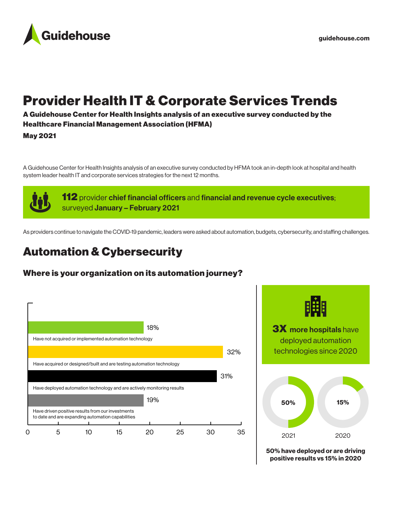

# Provider Health IT & Corporate Services Trends

A Guidehouse Center for Health Insights analysis of an executive survey conducted by the Healthcare Financial Management Association (HFMA)

May 2021

A Guidehouse Center for Health Insights analysis of an executive survey conducted by HFMA took an in-depth look at hospital and health system leader health IT and corporate services strategies for the next 12 months.

> **112** provider chief financial officers and financial and revenue cycle executives; surveyed January - February 2021

As providers continue to navigate the COVID-19 pandemic, leaders were asked about automation, budgets, cybersecurity, and staffing challenges.

# Automation & Cybersecurity

## Where is your organization on its automation journey?



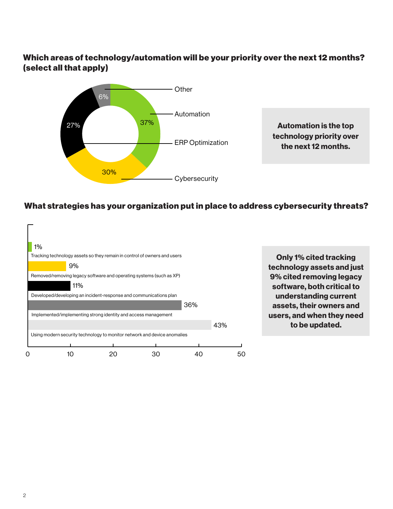## Which areas of technology/automation will be your priority over the next 12 months? (select all that apply)



technology priority over the next 12 months.

### What strategies has your organization put in place to address cybersecurity threats?

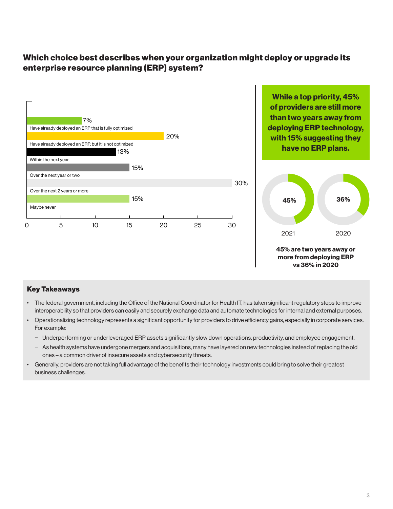## Which choice best describes when your organization might deploy or upgrade its enterprise resource planning (ERP) system?



#### Key Takeaways

- The federal government, including the Office of the National Coordinator for Health IT, has taken significant regulatory steps to improve interoperability so that providers can easily and securely exchange data and automate technologies for internal and external purposes.
- Operationalizing technology represents a significant opportunity for providers to drive efficiency gains, especially in corporate services. For example:
	- − Underperforming or underleveraged ERP assets significantly slow down operations, productivity, and employee engagement.
	- − As health systems have undergone mergers and acquisitions, many have layered on new technologies instead of replacing the old ones – a common driver of insecure assets and cybersecurity threats.
- Generally, providers are not taking full advantage of the benefits their technology investments could bring to solve their greatest business challenges.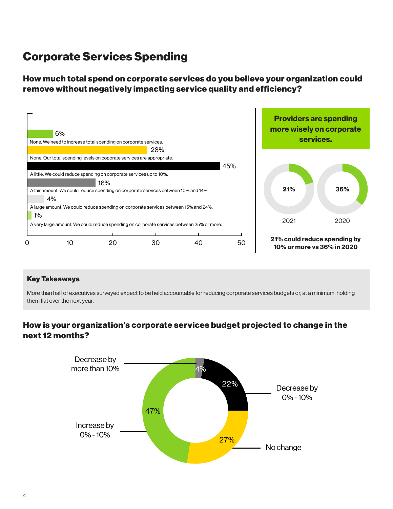## Corporate Services Spending

How much total spend on corporate services do you believe your organization could remove without negatively impacting service quality and efficiency?



#### Key Takeaways

More than half of executives surveyed expect to be held accountable for reducing corporate services budgets or, at a minimum, holding them flat over the next year.

## How is your organization's corporate services budget projected to change in the next 12 months?

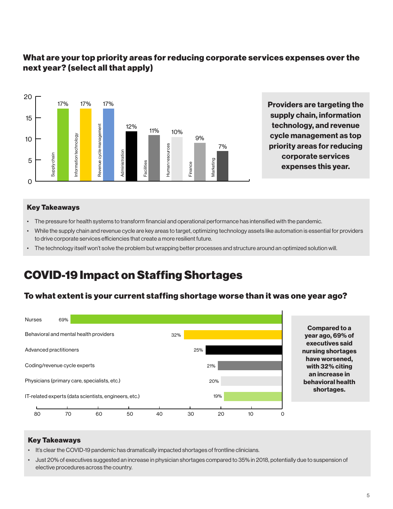## What are your top priority areas for reducing corporate services expenses over the next year? (select all that apply)



Providers are targeting the supply chain, information technology, and revenue cycle management as top priority areas for reducing corporate services expenses this year.

#### Key Takeaways

- The pressure for health systems to transform financial and operational performance has intensified with the pandemic.
- While the supply chain and revenue cycle are key areas to target, optimizing technology assets like automation is essential for providers to drive corporate services efficiencies that create a more resilient future.
- The technology itself won't solve the problem but wrapping better processes and structure around an optimized solution will.

## COVID-19 Impact on Staffing Shortages

#### To what extent is your current staffing shortage worse than it was one year ago?



Compared to a year ago, 69% of executives said nursing shortages have worsened, with 32% citing an increase in behavioral health shortages.

#### Key Takeaways

- It's clear the COVID-19 pandemic has dramatically impacted shortages of frontline clinicians.
- Just 20% of executives suggested an increase in physician shortages compared to 35% in 2018, potentially due to suspension of elective procedures across the country.